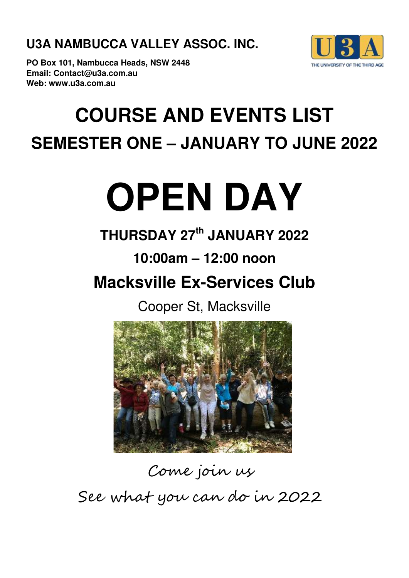**U3A NAMBUCCA VALLEY ASSOC. INC.**



**PO Box 101, Nambucca Heads, NSW 2448 Email: Contact@u3a.com.au Web: www.u3a.com.au**

# **COURSE AND EVENTS LIST SEMESTER ONE – JANUARY TO JUNE 2022**

# **OPEN DAY**

## **THURSDAY 27th JANUARY 2022**

### **10:00am – 12:00 noon**

## **Macksville Ex-Services Club**

Cooper St, Macksville



# Come join us See what you can do in 2022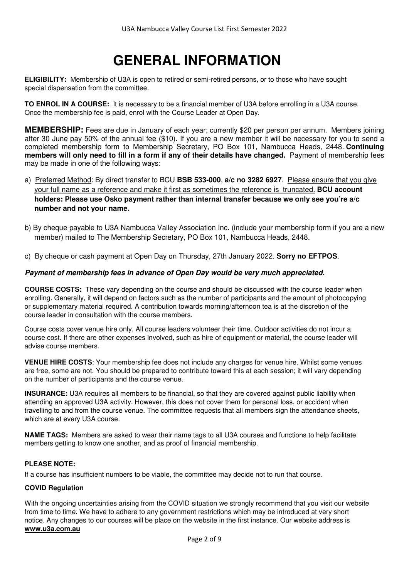### **GENERAL INFORMATION**

**ELIGIBILITY:** Membership of U3A is open to retired or semi-retired persons, or to those who have sought special dispensation from the committee.

**TO ENROL IN A COURSE:** It is necessary to be a financial member of U3A before enrolling in a U3A course. Once the membership fee is paid, enrol with the Course Leader at Open Day.

**MEMBERSHIP:** Fees are due in January of each year; currently \$20 per person per annum. Members joining after 30 June pay 50% of the annual fee (\$10). If you are a new member it will be necessary for you to send a completed membership form to Membership Secretary, PO Box 101, Nambucca Heads, 2448. **Continuing members will only need to fill in a form if any of their details have changed.** Payment of membership fees may be made in one of the following ways:

- a) Preferred Method: By direct transfer to BCU **BSB 533-000**, **a/c no 3282 6927**. Please ensure that you give your full name as a reference and make it first as sometimes the reference is truncated. **BCU account holders: Please use Osko payment rather than internal transfer because we only see you're a/c number and not your name.**
- b) By cheque payable to U3A Nambucca Valley Association Inc. (include your membership form if you are a new member) mailed to The Membership Secretary, PO Box 101, Nambucca Heads, 2448.
- c) By cheque or cash payment at Open Day on Thursday, 27th January 2022. **Sorry no EFTPOS**.

#### **Payment of membership fees in advance of Open Day would be very much appreciated.**

**COURSE COSTS:** These vary depending on the course and should be discussed with the course leader when enrolling. Generally, it will depend on factors such as the number of participants and the amount of photocopying or supplementary material required. A contribution towards morning/afternoon tea is at the discretion of the course leader in consultation with the course members.

Course costs cover venue hire only. All course leaders volunteer their time. Outdoor activities do not incur a course cost. If there are other expenses involved, such as hire of equipment or material, the course leader will advise course members.

**VENUE HIRE COSTS**: Your membership fee does not include any charges for venue hire. Whilst some venues are free, some are not. You should be prepared to contribute toward this at each session; it will vary depending on the number of participants and the course venue.

**INSURANCE:** U3A requires all members to be financial, so that they are covered against public liability when attending an approved U3A activity. However, this does not cover them for personal loss, or accident when travelling to and from the course venue. The committee requests that all members sign the attendance sheets, which are at every U3A course.

**NAME TAGS:** Members are asked to wear their name tags to all U3A courses and functions to help facilitate members getting to know one another, and as proof of financial membership.

#### **PLEASE NOTE:**

If a course has insufficient numbers to be viable, the committee may decide not to run that course.

#### **COVID Regulation**

With the ongoing uncertainties arising from the COVID situation we strongly recommend that you visit our website from time to time. We have to adhere to any government restrictions which may be introduced at very short notice. Any changes to our courses will be place on the website in the first instance. Our website address is **www.u3a.com.au**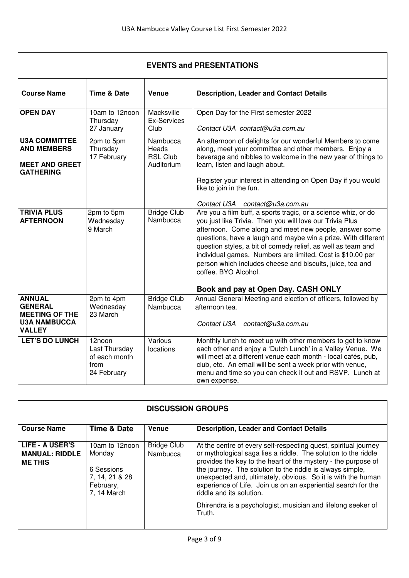| <b>EVENTS and PRESENTATIONS</b>                                                                  |                                                                 |                                                    |                                                                                                                                                                                                                                                                                                                                                                                                                                                                                                                 |
|--------------------------------------------------------------------------------------------------|-----------------------------------------------------------------|----------------------------------------------------|-----------------------------------------------------------------------------------------------------------------------------------------------------------------------------------------------------------------------------------------------------------------------------------------------------------------------------------------------------------------------------------------------------------------------------------------------------------------------------------------------------------------|
| <b>Course Name</b>                                                                               | <b>Time &amp; Date</b>                                          | Venue                                              | <b>Description, Leader and Contact Details</b>                                                                                                                                                                                                                                                                                                                                                                                                                                                                  |
| <b>OPEN DAY</b>                                                                                  | 10am to 12noon<br>Thursday<br>27 January                        | Macksville<br><b>Ex-Services</b><br>Club           | Open Day for the First semester 2022<br>Contact U3A contact@u3a.com.au                                                                                                                                                                                                                                                                                                                                                                                                                                          |
| <b>U3A COMMITTEE</b><br><b>AND MEMBERS</b><br><b>MEET AND GREET</b><br><b>GATHERING</b>          | 2pm to 5pm<br>Thursday<br>17 February                           | Nambucca<br>Heads<br><b>RSL Club</b><br>Auditorium | An afternoon of delights for our wonderful Members to come<br>along, meet your committee and other members. Enjoy a<br>beverage and nibbles to welcome in the new year of things to<br>learn, listen and laugh about.<br>Register your interest in attending on Open Day if you would<br>like to join in the fun.<br>Contact U3A contact@u3a.com.au                                                                                                                                                             |
| <b>TRIVIA PLUS</b><br><b>AFTERNOON</b>                                                           | 2pm to 5pm<br>Wednesday<br>9 March                              | <b>Bridge Club</b><br>Nambucca                     | Are you a film buff, a sports tragic, or a science whiz, or do<br>you just like Trivia. Then you will love our Trivia Plus<br>afternoon. Come along and meet new people, answer some<br>questions, have a laugh and maybe win a prize. With different<br>question styles, a bit of comedy relief, as well as team and<br>individual games. Numbers are limited. Cost is \$10.00 per<br>person which includes cheese and biscuits, juice, tea and<br>coffee. BYO Alcohol.<br>Book and pay at Open Day. CASH ONLY |
| <b>ANNUAL</b><br><b>GENERAL</b><br><b>MEETING OF THE</b><br><b>U3A NAMBUCCA</b><br><b>VALLEY</b> | 2pm to 4pm<br>Wednesday<br>23 March                             | <b>Bridge Club</b><br>Nambucca                     | Annual General Meeting and election of officers, followed by<br>afternoon tea.<br>Contact U3A contact@u3a.com.au                                                                                                                                                                                                                                                                                                                                                                                                |
| <b>LET'S DO LUNCH</b>                                                                            | 12noon<br>Last Thursday<br>of each month<br>from<br>24 February | Various<br>locations                               | Monthly lunch to meet up with other members to get to know<br>each other and enjoy a 'Dutch Lunch' in a Valley Venue. We<br>will meet at a different venue each month - local cafés, pub,<br>club, etc. An email will be sent a week prior with venue,<br>menu and time so you can check it out and RSVP. Lunch at<br>own expense.                                                                                                                                                                              |

| <b>DISCUSSION GROUPS</b>                                   |                                                                                      |                                |                                                                                                                                                                                                                                                                                                                                                                                                                                                                                                        |
|------------------------------------------------------------|--------------------------------------------------------------------------------------|--------------------------------|--------------------------------------------------------------------------------------------------------------------------------------------------------------------------------------------------------------------------------------------------------------------------------------------------------------------------------------------------------------------------------------------------------------------------------------------------------------------------------------------------------|
| <b>Course Name</b>                                         | <b>Time &amp; Date</b>                                                               | Venue                          | <b>Description, Leader and Contact Details</b>                                                                                                                                                                                                                                                                                                                                                                                                                                                         |
| LIFE - A USER'S<br><b>MANUAL: RIDDLE</b><br><b>ME THIS</b> | 10am to 12noon<br>Monday<br>6 Sessions<br>7, 14, 21 & 28<br>February,<br>7, 14 March | <b>Bridge Club</b><br>Nambucca | At the centre of every self-respecting quest, spiritual journey<br>or mythological saga lies a riddle. The solution to the riddle<br>provides the key to the heart of the mystery - the purpose of<br>the journey. The solution to the riddle is always simple,<br>unexpected and, ultimately, obvious. So it is with the human<br>experience of Life. Join us on an experiential search for the<br>riddle and its solution.<br>Dhirendra is a psychologist, musician and lifelong seeker of<br>Truth. |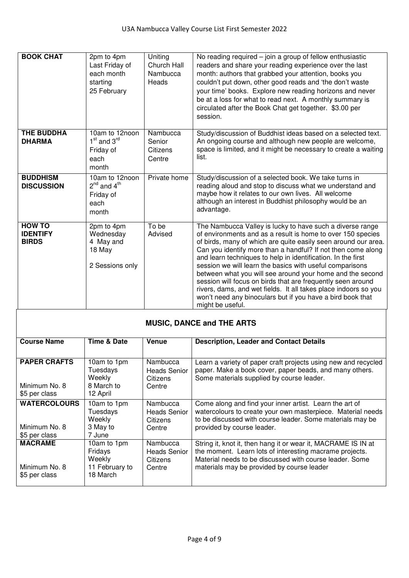| <b>BOOK CHAT</b>                                 | 2pm to 4pm<br>Last Friday of<br>each month<br>starting<br>25 February | Uniting<br><b>Church Hall</b><br>Nambucca<br>Heads | No reading required $-$ join a group of fellow enthusiastic<br>readers and share your reading experience over the last<br>month: authors that grabbed your attention, books you<br>couldn't put down, other good reads and 'the don't waste<br>your time' books. Explore new reading horizons and never<br>be at a loss for what to read next. A monthly summary is<br>circulated after the Book Chat get together. \$3.00 per<br>session.                                                                                                                                                                                                                              |
|--------------------------------------------------|-----------------------------------------------------------------------|----------------------------------------------------|-------------------------------------------------------------------------------------------------------------------------------------------------------------------------------------------------------------------------------------------------------------------------------------------------------------------------------------------------------------------------------------------------------------------------------------------------------------------------------------------------------------------------------------------------------------------------------------------------------------------------------------------------------------------------|
| <b>THE BUDDHA</b><br><b>DHARMA</b>               | 10am to 12noon<br>$1st$ and $3rd$<br>Friday of<br>each<br>month       | Nambucca<br>Senior<br>Citizens<br>Centre           | Study/discussion of Buddhist ideas based on a selected text.<br>An ongoing course and although new people are welcome,<br>space is limited, and it might be necessary to create a waiting<br>list.                                                                                                                                                                                                                                                                                                                                                                                                                                                                      |
| <b>BUDDHISM</b><br><b>DISCUSSION</b>             | 10am to 12noon<br>$2^{nd}$ and $4^{th}$<br>Friday of<br>each<br>month | Private home                                       | Study/discussion of a selected book. We take turns in<br>reading aloud and stop to discuss what we understand and<br>maybe how it relates to our own lives. All welcome<br>although an interest in Buddhist philosophy would be an<br>advantage.                                                                                                                                                                                                                                                                                                                                                                                                                        |
| <b>HOW TO</b><br><b>IDENTIFY</b><br><b>BIRDS</b> | 2pm to 4pm<br>Wednesday<br>4 May and<br>18 May<br>2 Sessions only     | To be<br>Advised                                   | The Nambucca Valley is lucky to have such a diverse range<br>of environments and as a result is home to over 150 species<br>of birds, many of which are quite easily seen around our area.<br>Can you identify more than a handful? If not then come along<br>and learn techniques to help in identification. In the first<br>session we will learn the basics with useful comparisons<br>between what you will see around your home and the second<br>session will focus on birds that are frequently seen around<br>rivers, dams, and wet fields. It all takes place indoors so you<br>won't need any binoculars but if you have a bird book that<br>might be useful. |

| <b>MUSIC, DANCE and THE ARTS</b>                      |                                                                |                                                       |                                                                                                                                                                                                                                   |
|-------------------------------------------------------|----------------------------------------------------------------|-------------------------------------------------------|-----------------------------------------------------------------------------------------------------------------------------------------------------------------------------------------------------------------------------------|
| <b>Course Name</b>                                    | Time & Date                                                    | <b>Venue</b>                                          | <b>Description, Leader and Contact Details</b>                                                                                                                                                                                    |
| <b>PAPER CRAFTS</b><br>Minimum No. 8<br>\$5 per class | 10am to 1pm<br>Tuesdays<br>Weekly<br>8 March to<br>12 April    | Nambucca<br>Heads Senior<br>Citizens<br>Centre        | Learn a variety of paper craft projects using new and recycled<br>paper. Make a book cover, paper beads, and many others.<br>Some materials supplied by course leader.                                                            |
| <b>WATERCOLOURS</b><br>Minimum No. 8<br>\$5 per class | 10am to 1pm<br>Tuesdays<br>Weekly<br>3 May to<br>7 June        | Nambucca<br>Heads Senior<br>Citizens<br>Centre        | Come along and find your inner artist. Learn the art of<br>watercolours to create your own masterpiece. Material needs<br>to be discussed with course leader. Some materials may be<br>provided by course leader.                 |
| <b>MACRAME</b><br>Minimum No. 8<br>\$5 per class      | 10am to 1pm<br>Fridays<br>Weekly<br>11 February to<br>18 March | Nambucca<br><b>Heads Senior</b><br>Citizens<br>Centre | String it, knot it, then hang it or wear it, MACRAME IS IN at<br>the moment. Learn lots of interesting macrame projects.<br>Material needs to be discussed with course leader. Some<br>materials may be provided by course leader |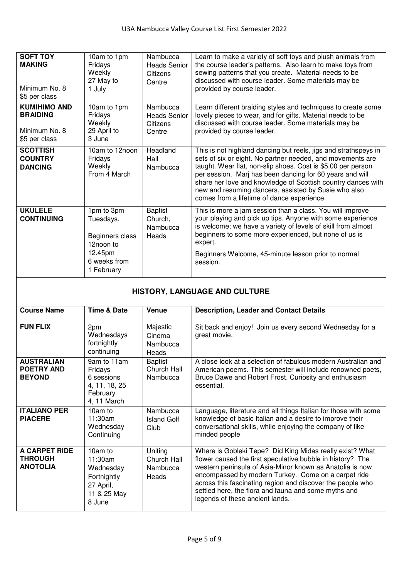| <b>SOFT TOY</b><br><b>MAKING</b><br>Minimum No. 8<br>\$5 per class       | 10am to 1pm<br>Fridays<br>Weekly<br>27 May to<br>1 July                                          | Nambucca<br><b>Heads Senior</b><br>Citizens<br>Centre | Learn to make a variety of soft toys and plush animals from<br>the course leader's patterns. Also learn to make toys from<br>sewing patterns that you create. Material needs to be<br>discussed with course leader. Some materials may be<br>provided by course leader.                                                                                                                                                         |
|--------------------------------------------------------------------------|--------------------------------------------------------------------------------------------------|-------------------------------------------------------|---------------------------------------------------------------------------------------------------------------------------------------------------------------------------------------------------------------------------------------------------------------------------------------------------------------------------------------------------------------------------------------------------------------------------------|
| <b>KUMIHIMO AND</b><br><b>BRAIDING</b><br>Minimum No. 8<br>\$5 per class | 10am to 1pm<br>Fridays<br>Weekly<br>29 April to<br>3 June                                        | Nambucca<br><b>Heads Senior</b><br>Citizens<br>Centre | Learn different braiding styles and techniques to create some<br>lovely pieces to wear, and for gifts. Material needs to be<br>discussed with course leader. Some materials may be<br>provided by course leader.                                                                                                                                                                                                                |
| <b>SCOTTISH</b><br><b>COUNTRY</b><br><b>DANCING</b>                      | 10am to 12noon<br>Fridays<br>Weekly<br>From 4 March                                              | Headland<br>Hall<br>Nambucca                          | This is not highland dancing but reels, jigs and strathspeys in<br>sets of six or eight. No partner needed, and movements are<br>taught. Wear flat, non-slip shoes. Cost is \$5.00 per person<br>per session. Marj has been dancing for 60 years and will<br>share her love and knowledge of Scottish country dances with<br>new and resuming dancers, assisted by Susie who also<br>comes from a lifetime of dance experience. |
| <b>UKULELE</b><br><b>CONTINUING</b>                                      | 1pm to 3pm<br>Tuesdays.<br>Beginners class<br>12noon to<br>12.45pm<br>6 weeks from<br>1 February | <b>Baptist</b><br>Church,<br>Nambucca<br>Heads        | This is more a jam session than a class. You will improve<br>your playing and pick up tips. Anyone with some experience<br>is welcome; we have a variety of levels of skill from almost<br>beginners to some more experienced, but none of us is<br>expert.<br>Beginners Welcome, 45-minute lesson prior to normal<br>session.                                                                                                  |

### **HISTORY, LANGUAGE AND CULTURE**

| <b>Course Name</b>                                        | <b>Time &amp; Date</b>                                                                 | <b>Venue</b>                                | <b>Description, Leader and Contact Details</b>                                                                                                                                                                                                                                                                                                                                                     |
|-----------------------------------------------------------|----------------------------------------------------------------------------------------|---------------------------------------------|----------------------------------------------------------------------------------------------------------------------------------------------------------------------------------------------------------------------------------------------------------------------------------------------------------------------------------------------------------------------------------------------------|
| <b>FUN FLIX</b>                                           | 2pm<br>Wednesdays<br>fortnightly<br>continuing                                         | Majestic<br>Cinema<br>Nambucca<br>Heads     | Sit back and enjoy! Join us every second Wednesday for a<br>great movie.                                                                                                                                                                                                                                                                                                                           |
| <b>AUSTRALIAN</b><br><b>POETRY AND</b><br><b>BEYOND</b>   | 9am to 11am<br>Fridays<br>6 sessions<br>4, 11, 18, 25<br>February<br>4, 11 March       | <b>Baptist</b><br>Church Hall<br>Nambucca   | A close look at a selection of fabulous modern Australian and<br>American poems. This semester will include renowned poets,<br>Bruce Dawe and Robert Frost. Curiosity and enthusiasm<br>essential.                                                                                                                                                                                                 |
| <b>ITALIANO PER</b><br><b>PIACERE</b>                     | 10am to<br>11:30am<br>Wednesday<br>Continuing                                          | Nambucca<br><b>Island Golf</b><br>Club      | Language, literature and all things Italian for those with some<br>knowledge of basic Italian and a desire to improve their<br>conversational skills, while enjoying the company of like<br>minded people                                                                                                                                                                                          |
| <b>A CARPET RIDE</b><br><b>THROUGH</b><br><b>ANOTOLIA</b> | $10am$ to<br>11:30am<br>Wednesday<br>Fortnightly<br>27 April,<br>11 & 25 May<br>8 June | Uniting<br>Church Hall<br>Nambucca<br>Heads | Where is Gobleki Tepe? Did King Midas really exist? What<br>flower caused the first speculative bubble in history? The<br>western peninsula of Asia-Minor known as Anatolia is now<br>encompassed by modern Turkey. Come on a carpet ride<br>across this fascinating region and discover the people who<br>settled here, the flora and fauna and some myths and<br>legends of these ancient lands. |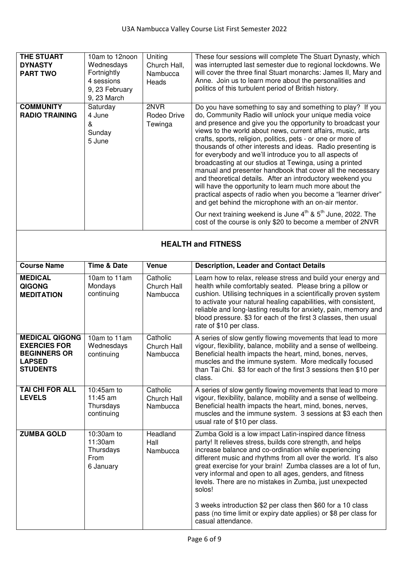| <b>THE STUART</b><br><b>DYNASTY</b><br><b>PART TWO</b> | 10am to 12noon<br>Wednesdays<br>Fortnightly<br>4 sessions<br>9, 23 February<br>9, 23 March | Uniting<br>Church Hall,<br>Nambucca<br>Heads | These four sessions will complete The Stuart Dynasty, which<br>was interrupted last semester due to regional lockdowns. We<br>will cover the three final Stuart monarchs: James II, Mary and<br>Anne. Join us to learn more about the personalities and<br>politics of this turbulent period of British history.                                                                                                                                                                                                                                                                                                                                                                                                                                                                                                                                                                                                                                                             |
|--------------------------------------------------------|--------------------------------------------------------------------------------------------|----------------------------------------------|------------------------------------------------------------------------------------------------------------------------------------------------------------------------------------------------------------------------------------------------------------------------------------------------------------------------------------------------------------------------------------------------------------------------------------------------------------------------------------------------------------------------------------------------------------------------------------------------------------------------------------------------------------------------------------------------------------------------------------------------------------------------------------------------------------------------------------------------------------------------------------------------------------------------------------------------------------------------------|
| <b>COMMUNITY</b><br><b>RADIO TRAINING</b>              | Saturday<br>4 June<br>&<br>Sunday<br>5 June                                                | 2NVR<br>Rodeo Drive<br>Tewinga               | Do you have something to say and something to play? If you<br>do, Community Radio will unlock your unique media voice<br>and presence and give you the opportunity to broadcast your<br>views to the world about news, current affairs, music, arts<br>crafts, sports, religion, politics, pets - or one or more of<br>thousands of other interests and ideas. Radio presenting is<br>for everybody and we'll introduce you to all aspects of<br>broadcasting at our studios at Tewinga, using a printed<br>manual and presenter handbook that cover all the necessary<br>and theoretical details. After an introductory weekend you<br>will have the opportunity to learn much more about the<br>practical aspects of radio when you become a "learner driver"<br>and get behind the microphone with an on-air mentor.<br>Our next training weekend is June 4 <sup>th</sup> & 5 <sup>th</sup> June, 2022. The<br>cost of the course is only \$20 to become a member of 2NVR |

#### **HEALTH and FITNESS**

| <b>Course Name</b>                                                                                      | <b>Time &amp; Date</b>                                  | Venue                               | <b>Description, Leader and Contact Details</b>                                                                                                                                                                                                                                                                                                                                                                                                      |
|---------------------------------------------------------------------------------------------------------|---------------------------------------------------------|-------------------------------------|-----------------------------------------------------------------------------------------------------------------------------------------------------------------------------------------------------------------------------------------------------------------------------------------------------------------------------------------------------------------------------------------------------------------------------------------------------|
| <b>MEDICAL</b><br><b>QIGONG</b><br><b>MEDITATION</b>                                                    | 10am to 11am<br>Mondays<br>continuing                   | Catholic<br>Church Hall<br>Nambucca | Learn how to relax, release stress and build your energy and<br>health while comfortably seated. Please bring a pillow or<br>cushion. Utilising techniques in a scientifically proven system<br>to activate your natural healing capabilities, with consistent,<br>reliable and long-lasting results for anxiety, pain, memory and<br>blood pressure. \$3 for each of the first 3 classes, then usual<br>rate of \$10 per class.                    |
| <b>MEDICAL QIGONG</b><br><b>EXERCIES FOR</b><br><b>BEGINNERS OR</b><br><b>LAPSED</b><br><b>STUDENTS</b> | 10am to 11am<br>Wednesdays<br>continuing                | Catholic<br>Church Hall<br>Nambucca | A series of slow gently flowing movements that lead to more<br>vigour, flexibility, balance, mobility and a sense of wellbeing.<br>Beneficial health impacts the heart, mind, bones, nerves,<br>muscles and the immune system. More medically focused<br>than Tai Chi. \$3 for each of the first 3 sessions then \$10 per<br>class.                                                                                                                 |
| <b>TAI CHI FOR ALL</b><br><b>LEVELS</b>                                                                 | 10:45am to<br>11:45 am<br>Thursdays<br>continuing       | Catholic<br>Church Hall<br>Nambucca | A series of slow gently flowing movements that lead to more<br>vigour, flexibility, balance, mobility and a sense of wellbeing.<br>Beneficial health impacts the heart, mind, bones, nerves,<br>muscles and the immune system. 3 sessions at \$3 each then<br>usual rate of \$10 per class.                                                                                                                                                         |
| <b>ZUMBA GOLD</b>                                                                                       | 10:30am to<br>11:30am<br>Thursdays<br>From<br>6 January | Headland<br>Hall<br>Nambucca        | Zumba Gold is a low impact Latin-inspired dance fitness<br>party! It relieves stress, builds core strength, and helps<br>increase balance and co-ordination while experiencing<br>different music and rhythms from all over the world. It's also<br>great exercise for your brain! Zumba classes are a lot of fun,<br>very informal and open to all ages, genders, and fitness<br>levels. There are no mistakes in Zumba, just unexpected<br>solos! |
|                                                                                                         |                                                         |                                     | 3 weeks introduction \$2 per class then \$60 for a 10 class<br>pass (no time limit or expiry date applies) or \$8 per class for<br>casual attendance.                                                                                                                                                                                                                                                                                               |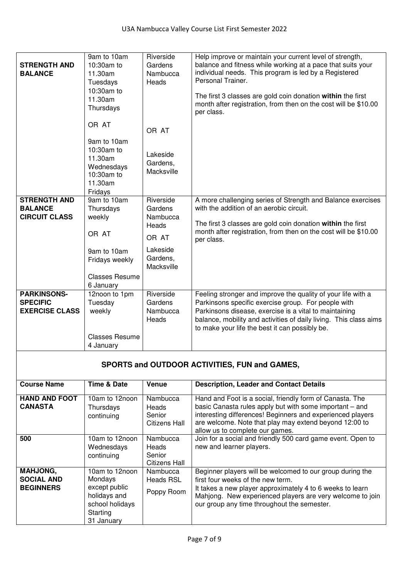| <b>STRENGTH AND</b><br><b>BALANCE</b>                          | 9am to 10am<br>10:30am to<br>11.30am<br>Tuesdays<br>10:30am to<br>11.30am<br>Thursdays                | Riverside<br>Gardens<br>Nambucca<br>Heads                                                | Help improve or maintain your current level of strength,<br>balance and fitness while working at a pace that suits your<br>individual needs. This program is led by a Registered<br>Personal Trainer.<br>The first 3 classes are gold coin donation within the first<br>month after registration, from then on the cost will be \$10.00<br>per class. |
|----------------------------------------------------------------|-------------------------------------------------------------------------------------------------------|------------------------------------------------------------------------------------------|-------------------------------------------------------------------------------------------------------------------------------------------------------------------------------------------------------------------------------------------------------------------------------------------------------------------------------------------------------|
|                                                                | OR AT                                                                                                 | OR AT                                                                                    |                                                                                                                                                                                                                                                                                                                                                       |
|                                                                | 9am to 10am<br>10:30am to<br>11.30am<br>Wednesdays<br>10:30am to<br>11.30am<br>Fridays                | Lakeside<br>Gardens,<br>Macksville                                                       |                                                                                                                                                                                                                                                                                                                                                       |
| <b>STRENGTH AND</b><br><b>BALANCE</b><br><b>CIRCUIT CLASS</b>  | 9am to 10am<br>Thursdays<br>weekly<br>OR AT<br>9am to 10am<br>Fridays weekly<br><b>Classes Resume</b> | Riverside<br>Gardens<br>Nambucca<br>Heads<br>OR AT<br>Lakeside<br>Gardens,<br>Macksville | A more challenging series of Strength and Balance exercises<br>with the addition of an aerobic circuit.<br>The first 3 classes are gold coin donation within the first<br>month after registration, from then on the cost will be \$10.00<br>per class.                                                                                               |
| <b>PARKINSONS-</b><br><b>SPECIFIC</b><br><b>EXERCISE CLASS</b> | 6 January<br>12noon to 1pm<br>Tuesday<br>weekly<br><b>Classes Resume</b><br>4 January                 | Riverside<br>Gardens<br>Nambucca<br>Heads                                                | Feeling stronger and improve the quality of your life with a<br>Parkinsons specific exercise group. For people with<br>Parkinsons disease, exercise is a vital to maintaining<br>balance, mobility and activities of daily living. This class aims<br>to make your life the best it can possibly be.                                                  |

### **SPORTS and OUTDOOR ACTIVITIES, FUN and GAMES,**

| <b>Course Name</b>                                       | <b>Time &amp; Date</b>                                                                                  | Venue                                               | <b>Description, Leader and Contact Details</b>                                                                                                                                                                                                                                 |
|----------------------------------------------------------|---------------------------------------------------------------------------------------------------------|-----------------------------------------------------|--------------------------------------------------------------------------------------------------------------------------------------------------------------------------------------------------------------------------------------------------------------------------------|
| <b>HAND AND FOOT</b><br><b>CANASTA</b>                   | 10am to 12noon<br>Thursdays<br>continuing                                                               | Nambucca<br>Heads<br>Senior<br>Citizens Hall        | Hand and Foot is a social, friendly form of Canasta. The<br>basic Canasta rules apply but with some important - and<br>interesting differences! Beginners and experienced players<br>are welcome. Note that play may extend beyond 12:00 to<br>allow us to complete our games. |
| 500                                                      | 10am to 12noon<br>Wednesdays<br>continuing                                                              | Nambucca<br>Heads<br>Senior<br><b>Citizens Hall</b> | Join for a social and friendly 500 card game event. Open to<br>new and learner players.                                                                                                                                                                                        |
| <b>MAHJONG,</b><br><b>SOCIAL AND</b><br><b>BEGINNERS</b> | 10am to 12noon<br>Mondays<br>except public<br>holidays and<br>school holidays<br>Starting<br>31 January | Nambucca<br><b>Heads RSL</b><br>Poppy Room          | Beginner players will be welcomed to our group during the<br>first four weeks of the new term.<br>It takes a new player approximately 4 to 6 weeks to learn<br>Mahjong. New experienced players are very welcome to join<br>our group any time throughout the semester.        |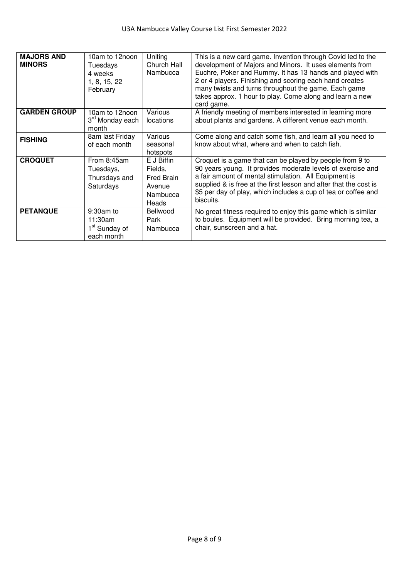| <b>MAJORS AND</b><br><b>MINORS</b> | 10am to 12noon<br>Tuesdays<br>4 weeks<br>1, 8, 15, 22<br>February | Uniting<br>Church Hall<br>Nambucca                                 | This is a new card game. Invention through Covid led to the<br>development of Majors and Minors. It uses elements from<br>Euchre, Poker and Rummy. It has 13 hands and played with<br>2 or 4 players. Finishing and scoring each hand creates<br>many twists and turns throughout the game. Each game<br>takes approx. 1 hour to play. Come along and learn a new<br>card game. |
|------------------------------------|-------------------------------------------------------------------|--------------------------------------------------------------------|---------------------------------------------------------------------------------------------------------------------------------------------------------------------------------------------------------------------------------------------------------------------------------------------------------------------------------------------------------------------------------|
| <b>GARDEN GROUP</b>                | 10am to 12noon<br>3 <sup>rd</sup> Monday each<br>month            | Various<br>locations                                               | A friendly meeting of members interested in learning more<br>about plants and gardens. A different venue each month.                                                                                                                                                                                                                                                            |
| <b>FISHING</b>                     | 8am last Friday<br>of each month                                  | Various<br>seasonal<br>hotspots                                    | Come along and catch some fish, and learn all you need to<br>know about what, where and when to catch fish.                                                                                                                                                                                                                                                                     |
| <b>CROQUET</b>                     | From 8:45am<br>Tuesdays,<br>Thursdays and<br>Saturdays            | E J Biffin<br>Fields,<br>Fred Brain<br>Avenue<br>Nambucca<br>Heads | Croquet is a game that can be played by people from 9 to<br>90 years young. It provides moderate levels of exercise and<br>a fair amount of mental stimulation. All Equipment is<br>supplied & is free at the first lesson and after that the cost is<br>\$5 per day of play, which includes a cup of tea or coffee and<br>biscuits.                                            |
| <b>PETANQUE</b>                    | 9:30am to<br>11:30am<br>1 <sup>st</sup> Sunday of<br>each month   | <b>Bellwood</b><br>Park<br>Nambucca                                | No great fitness required to enjoy this game which is similar<br>to boules. Equipment will be provided. Bring morning tea, a<br>chair, sunscreen and a hat.                                                                                                                                                                                                                     |